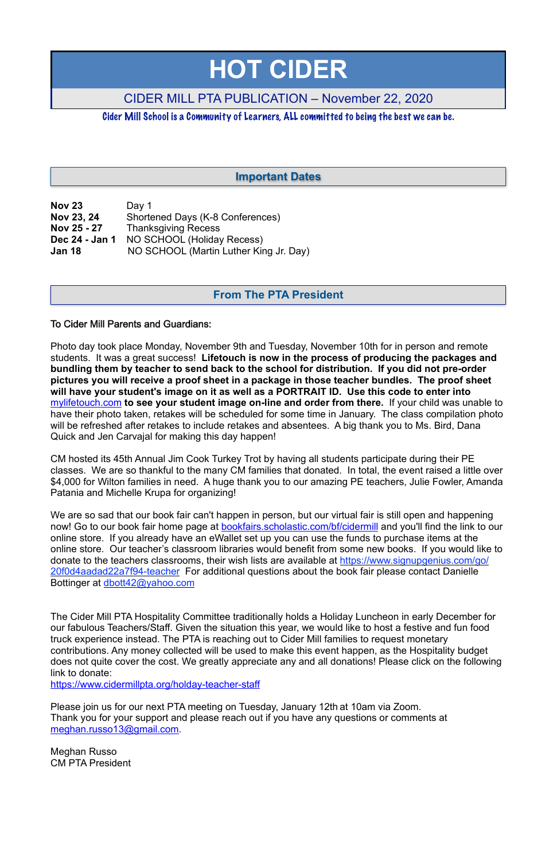| <b>Nov 23</b>  | Day 1                                  |
|----------------|----------------------------------------|
| Nov 23, 24     | Shortened Days (K-8 Conferences)       |
| Nov 25 - 27    | <b>Thanksgiving Recess</b>             |
| Dec 24 - Jan 1 | NO SCHOOL (Holiday Recess)             |
| <b>Jan 18</b>  | NO SCHOOL (Martin Luther King Jr. Day) |

#### To Cider Mill Parents and Guardians:

Photo day took place Monday, November 9th and Tuesday, November 10th for in person and remote students. It was a great success! **Lifetouch is now in the process of producing the packages and bundling them by teacher to send back to the school for distribution. If you did not pre-order pictures you will receive a proof sheet in a package in those teacher bundles. The proof sheet will have your student's image on it as well as a PORTRAIT ID. Use this code to enter into**  [mylifetouch.com](http://mylifetouch.com/%22%20%5Ct%20%22_blank) **to see your student image on-line and order from there.** If your child was unable to have their photo taken, retakes will be scheduled for some time in January. The class compilation photo will be refreshed after retakes to include retakes and absentees. A big thank you to Ms. Bird, Dana Quick and Jen Carvajal for making this day happen!

We are so sad that our book fair can't happen in person, but our virtual fair is still open and happening now! Go to our book fair home page at **[bookfairs.scholastic.com/bf/cidermill](http://bookfairs.scholastic.com/bf/cidermill)** and you'll find the link to our online store. If you already have an eWallet set up you can use the funds to purchase items at the online store. Our teacher's classroom libraries would benefit from some new books. If you would like to donate to the teachers classrooms, their wish lists are available at [https://www.signupgenius.com/go/](https://www.signupgenius.com/go/20f0d4aadad22a7f94-teacher) [20f0d4aadad22a7f94-teacher](https://www.signupgenius.com/go/20f0d4aadad22a7f94-teacher) For additional questions about the book fair please contact Danielle Bottinger at [dbott42@yahoo.com](mailto:dbott42@yahoo.com)

CM hosted its 45th Annual Jim Cook Turkey Trot by having all students participate during their PE classes. We are so thankful to the many CM families that donated. In total, the event raised a little over \$4,000 for Wilton families in need. A huge thank you to our amazing PE teachers, Julie Fowler, Amanda Patania and Michelle Krupa for organizing!

The Cider Mill PTA Hospitality Committee traditionally holds a Holiday Luncheon in early December for our fabulous Teachers/Staff. Given the situation this year, we would like to host a festive and fun food truck experience instead. The PTA is reaching out to Cider Mill families to request monetary contributions. Any money collected will be used to make this event happen, as the Hospitality budget does not quite cover the cost. We greatly appreciate any and all donations! Please click on the following link to donate:

<https://www.cidermillpta.org/holday-teacher-staff>

Please join us for our next PTA meeting on Tuesday, January 12th at 10am via Zoom. Thank you for your support and please reach out if you have any questions or comments at [meghan.russo13@gmail.com](mailto:meghan.russo13@gmail.com).

Meghan Russo CM PTA President

# **HOT CIDER**

# CIDER MILL PTA PUBLICATION – November 22, 2020

Cider Mill School is a Community of Learners, ALL committed to being the best we can be.

## **From The PTA President**

## **Important Dates**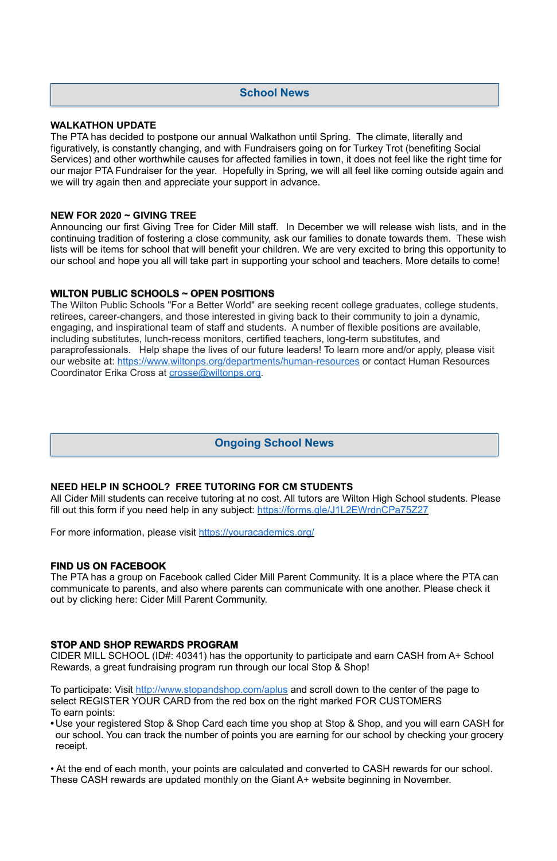#### **WALKATHON UPDATE**

The PTA has decided to postpone our annual Walkathon until Spring. The climate, literally and figuratively, is constantly changing, and with Fundraisers going on for Turkey Trot (benefiting Social Services) and other worthwhile causes for affected families in town, it does not feel like the right time for our major PTA Fundraiser for the year. Hopefully in Spring, we will all feel like coming outside again and we will try again then and appreciate your support in advance.

#### **NEW FOR 2020 ~ GIVING TREE**

Announcing our first Giving Tree for Cider Mill staff. In December we will release wish lists, and in the continuing tradition of fostering a close community, ask our families to donate towards them. These wish lists will be items for school that will benefit your children. We are very excited to bring this opportunity to our school and hope you all will take part in supporting your school and teachers. More details to come!

All Cider Mill students can receive tutoring at no cost. All tutors are Wilton High School students. Please fill out this form if you need help in any subject:<https://forms.gle/J1L2EWrdnCPa75Z27>

#### **WILTON PUBLIC SCHOOLS ~ OPEN POSITIONS**

The Wilton Public Schools "For a Better World" are seeking recent college graduates, college students, retirees, career-changers, and those interested in giving back to their community to join a dynamic, engaging, and inspirational team of staff and students. A number of flexible positions are available, including substitutes, lunch-recess monitors, certified teachers, long-term substitutes, and paraprofessionals. Help shape the lives of our future leaders! To learn more and/or apply, please visit our website at: <https://www.wiltonps.org/departments/human-resources>or contact Human Resources Coordinator Erika Cross at [crosse@wiltonps.org.](mailto:crosse@wiltonps.org)

#### **NEED HELP IN SCHOOL? FREE TUTORING FOR CM STUDENTS**

For more information, please visit <https://youracademics.org/>

#### **FIND US ON FACEBOOK**

The PTA has a group on Facebook called Cider Mill Parent Community. It is a place where the PTA can communicate to parents, and also where parents can communicate with one another. Please check it out by clicking here: [Cider Mill Parent Community.](https://www.facebook.com/groups/1168962513117647/)

#### **STOP AND SHOP REWARDS PROGRAM**

CIDER MILL SCHOOL (ID#: 40341) has the opportunity to participate and earn CASH from A+ School Rewards, a great fundraising program run through our local Stop & Shop!

To participate: Visit<http://www.stopandshop.com/aplus> and scroll down to the center of the page to select REGISTER YOUR CARD from the red box on the right marked FOR CUSTOMERS To earn points:

- **•** Use your registered Stop & Shop Card each time you shop at Stop & Shop, and you will earn CASH for our school. You can track the number of points you are earning for our school by checking your grocery receipt.
- At the end of each month, your points are calculated and converted to CASH rewards for our school. These CASH rewards are updated monthly on the Giant A+ website beginning in November.

## **School News**

## **Ongoing School News**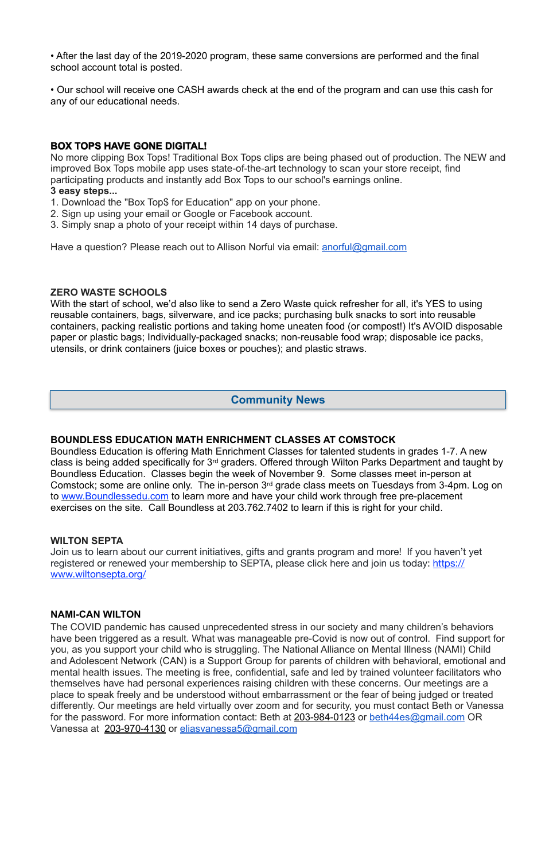• After the last day of the 2019-2020 program, these same conversions are performed and the final school account total is posted.

• Our school will receive one CASH awards check at the end of the program and can use this cash for any of our educational needs.

### **BOX TOPS HAVE GONE DIGITAL!**

No more clipping Box Tops! Traditional Box Tops clips are being phased out of production. The NEW and improved Box Tops mobile app uses state-of-the-art technology to scan your store receipt, find participating products and instantly add Box Tops to our school's earnings online.

#### **3 easy steps...**

With the start of school, we'd also like to send a Zero Waste quick refresher for all, it's YES to using reusable containers, bags, silverware, and ice packs; purchasing bulk snacks to sort into reusable containers, packing realistic portions and taking home uneaten food (or compost!) It's AVOID disposable paper or plastic bags; Individually-packaged snacks; non-reusable food wrap; disposable ice packs, utensils, or drink containers (juice boxes or pouches); and plastic straws.

- 1. Download the "Box Top\$ for Education" app on your phone.
- 2. Sign up using your email or Google or Facebook account.
- 3. Simply snap a photo of your receipt within 14 days of purchase.

Have a question? Please reach out to Allison Norful via email: [anorful@gmail.com](mailto:anorful@gmail.com)

#### **ZERO WASTE SCHOOLS**

#### **BOUNDLESS EDUCATION MATH ENRICHMENT CLASSES AT COMSTOCK**

Boundless Education is offering Math Enrichment Classes for talented students in grades 1-7. A new class is being added specifically for 3rd graders. Offered through Wilton Parks Department and taught by Boundless Education. Classes begin the week of November 9. Some classes meet in-person at Comstock; some are online only. The in-person 3rd grade class meets on Tuesdays from 3-4pm. Log on to [www.Boundlessedu.com](http://www.boundlessedu.com/) to learn more and have your child work through free pre-placement exercises on the site. Call Boundless at 203.762.7402 to learn if this is right for your child.

#### **WILTON SEPTA**

Join us to learn about our current initiatives, gifts and grants program and more! If you haven't yet registered or renewed your membership to SEPTA, please click here and join us today: [https://](https://www.wiltonsepta.org/) [www.wiltonsepta.org/](https://www.wiltonsepta.org/)

#### **NAMI-CAN WILTON**

The COVID pandemic has caused unprecedented stress in our society and many children's behaviors

have been triggered as a result. What was manageable pre-Covid is now out of control. Find support for you, as you support your child who is struggling. The National Alliance on Mental Illness (NAMI) Child and Adolescent Network (CAN) is a Support Group for parents of children with behavioral, emotional and mental health issues. The meeting is free, confidential, safe and led by trained volunteer facilitators who themselves have had personal experiences raising children with these concerns. Our meetings are a place to speak freely and be understood without embarrassment or the fear of being judged or treated differently. Our meetings are held virtually over zoom and for security, you must contact Beth or Vanessa for the password. For more information contact: Beth at 203-984-0123 or [beth44es@gmail.com](mailto:beth44es@gmail.com) OR Vanessa at 203-970-4130 or [eliasvanessa5@gmail.com](mailto:eliasvanessa5@gmail.com)

## **Community News**